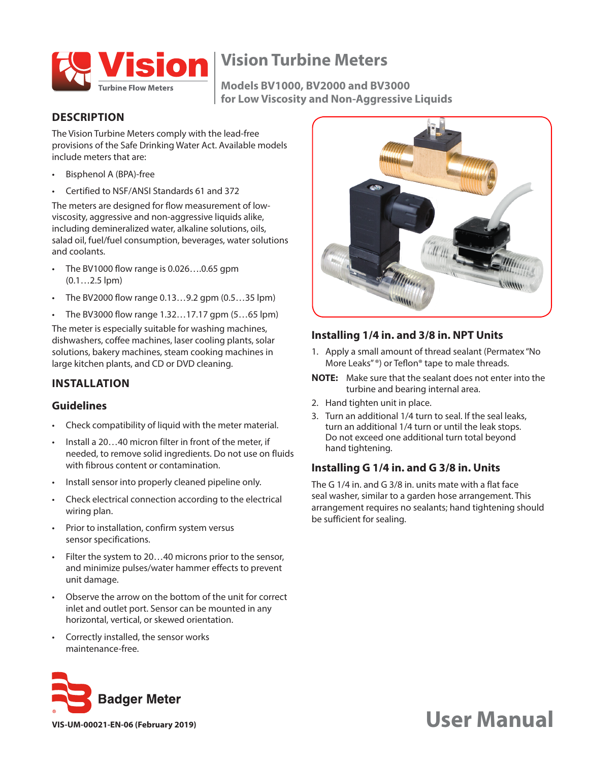

**Models BV1000, BV2000 and BV3000 for Low Viscosity and Non-Aggressive Liquids**

#### **DESCRIPTION**

The Vision Turbine Meters comply with the lead-free provisions of the Safe Drinking Water Act. Available models include meters that are:

- Bisphenol A (BPA)-free
- Certified to NSF/ANSI Standards 61 and 372

The meters are designed for flow measurement of lowviscosity, aggressive and non-aggressive liquids alike, including demineralized water, alkaline solutions, oils, salad oil, fuel/fuel consumption, beverages, water solutions and coolants.

- The BV1000 flow range is 0.026….0.65 gpm (0.1…2.5 lpm)
- The BV2000 flow range 0.13…9.2 gpm (0.5…35 lpm)
- The BV3000 flow range 1.32…17.17 gpm (5…65 lpm)

The meter is especially suitable for washing machines, dishwashers, coffee machines, laser cooling plants, solar solutions, bakery machines, steam cooking machines in large kitchen plants, and CD or DVD cleaning.

# **INSTALLATION**

#### **Guidelines**

- Check compatibility of liquid with the meter material.
- Install a 20…40 micron filter in front of the meter, if needed, to remove solid ingredients. Do not use on fluids with fibrous content or contamination.
- Install sensor into properly cleaned pipeline only.
- Check electrical connection according to the electrical wiring plan.
- Prior to installation, confirm system versus sensor specifications.
- Filter the system to 20...40 microns prior to the sensor, and minimize pulses/water hammer effects to prevent unit damage.
- Observe the arrow on the bottom of the unit for correct inlet and outlet port. Sensor can be mounted in any horizontal, vertical, or skewed orientation.
- Correctly installed, the sensor works maintenance-free.







#### **Installing 1/4 in. and 3/8 in. NPT Units**

- 1. Apply a small amount of thread sealant (Permatex "No More Leaks" ®) or Teflon® tape to male threads.
- **NNOTE:** Make sure that the sealant does not enter into the turbine and bearing internal area.
- 2. Hand tighten unit in place.
- 3. Turn an additional 1/4 turn to seal. If the seal leaks, turn an additional 1/4 turn or until the leak stops. Do not exceed one additional turn total beyond hand tightening.

#### **Installing G 1/4 in. and G 3/8 in. Units**

The G 1/4 in. and G 3/8 in. units mate with a flat face seal washer, similar to a garden hose arrangement. This arrangement requires no sealants; hand tightening should be sufficient for sealing.

# **VIS-UM-00021-EN-06 (February 2019) USER Manual**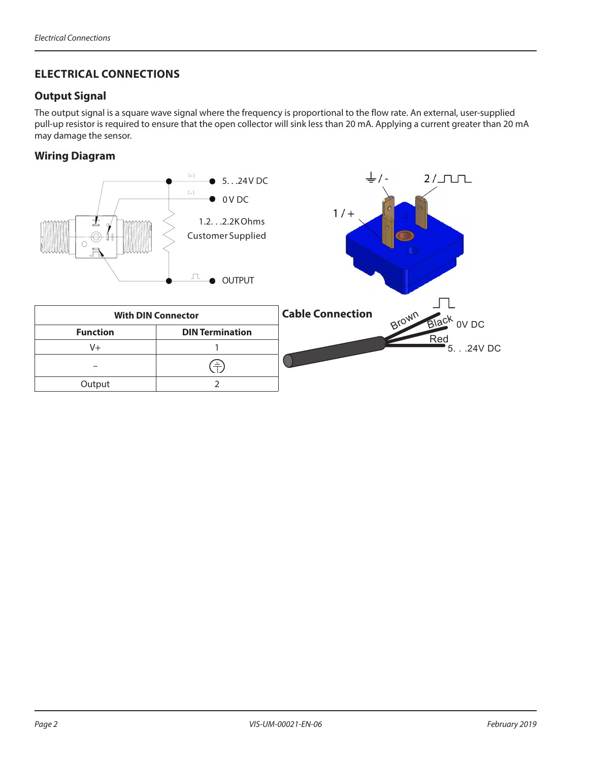# **ELECTRICAL CONNECTIONS**

### **Output Signal**

The output signal is a square wave signal where the frequency is proportional to the flow rate. An external, user-supplied pull-up resistor is required to ensure that the open collector will sink less than 20 mA. Applying a current greater than 20 mA may damage the sensor.

### **Wiring Diagram**

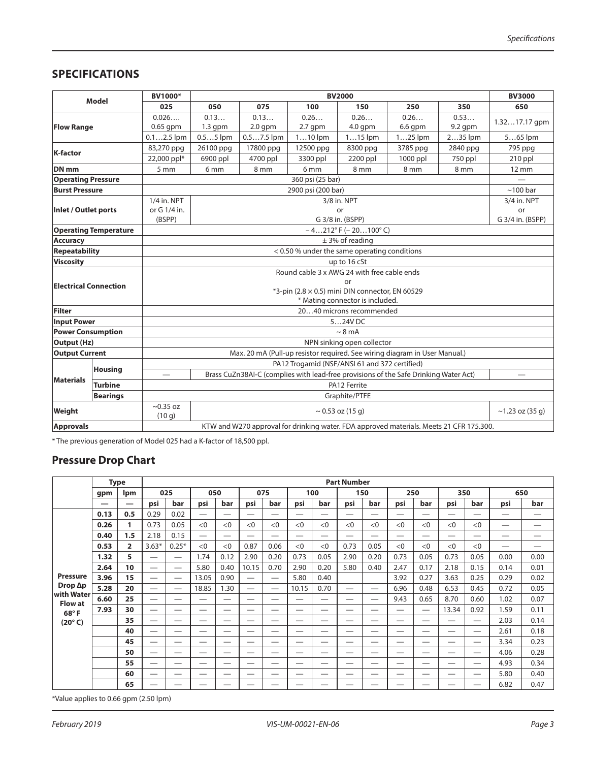# **SPECIFICATIONS**

| <b>Model</b>                 |                 | BV1000*                                                                                      |                                                                                         | <b>BV3000</b>        |                 |               |            |                 |                 |  |  |  |  |  |  |
|------------------------------|-----------------|----------------------------------------------------------------------------------------------|-----------------------------------------------------------------------------------------|----------------------|-----------------|---------------|------------|-----------------|-----------------|--|--|--|--|--|--|
|                              |                 | 025                                                                                          | 050                                                                                     | 075                  | 100             |               | 250        | 350             | 650             |  |  |  |  |  |  |
| <b>Flow Range</b>            |                 | 0.026                                                                                        | 0.13                                                                                    | 0.13<br>0.26<br>0.26 |                 | 0.26          | 0.53       | 1.3217.17 gpm   |                 |  |  |  |  |  |  |
|                              |                 | 0.65 gpm                                                                                     | $1.3$ gpm                                                                               | $2.0$ gpm            | $2.7$ qpm       | $4.0$ gpm     | $6.6$ gpm  | $9.2$ qpm       |                 |  |  |  |  |  |  |
|                              |                 | $0.12.5$ lpm                                                                                 | $0.55$ lpm                                                                              | $0.57.5$ lpm         | $110$ lpm       | $115$ lpm     | $125$ lpm  | 235 lpm         | $565$ lpm       |  |  |  |  |  |  |
| K-factor                     |                 | 83,270 ppg                                                                                   | 26100 ppg                                                                               | 17800 ppg            | 12500 ppg       | 8300 ppg      | 3785 ppg   | 2840 ppg        | 795 ppg         |  |  |  |  |  |  |
|                              |                 | 22,000 ppl*                                                                                  | 6900 ppl                                                                                | 4700 ppl             | 3300 ppl        | 2200 ppl      | $1000$ ppl | 750 ppl         | 210 ppl         |  |  |  |  |  |  |
| DN <sub>mm</sub>             |                 | 5 mm                                                                                         | 6 <sub>mm</sub>                                                                         | 8 mm                 | 6 <sub>mm</sub> | 8 mm          | 8 mm       | 8 <sub>mm</sub> | $12 \text{ mm}$ |  |  |  |  |  |  |
| <b>Operating Pressure</b>    |                 |                                                                                              |                                                                                         |                      |                 |               |            |                 |                 |  |  |  |  |  |  |
| <b>Burst Pressure</b>        |                 |                                                                                              | $~100$ bar                                                                              |                      |                 |               |            |                 |                 |  |  |  |  |  |  |
| Inlet / Outlet ports         |                 | 1/4 in, NPT                                                                                  | 3/4 in. NPT                                                                             |                      |                 |               |            |                 |                 |  |  |  |  |  |  |
|                              |                 | or G 1/4 in.                                                                                 |                                                                                         | or                   |                 |               |            |                 |                 |  |  |  |  |  |  |
|                              |                 | G 3/8 in. (BSPP)<br>(BSPP)<br>G 3/4 in. (BSPP)                                               |                                                                                         |                      |                 |               |            |                 |                 |  |  |  |  |  |  |
| <b>Operating Temperature</b> |                 | $-4212^{\circ}$ F ( $-20100^{\circ}$ C)                                                      |                                                                                         |                      |                 |               |            |                 |                 |  |  |  |  |  |  |
| <b>Accuracy</b>              |                 | $±$ 3% of reading                                                                            |                                                                                         |                      |                 |               |            |                 |                 |  |  |  |  |  |  |
| <b>Repeatability</b>         |                 | < 0.50 % under the same operating conditions                                                 |                                                                                         |                      |                 |               |            |                 |                 |  |  |  |  |  |  |
| <b>Viscosity</b>             |                 | up to 16 cSt                                                                                 |                                                                                         |                      |                 |               |            |                 |                 |  |  |  |  |  |  |
|                              |                 | Round cable 3 x AWG 24 with free cable ends                                                  |                                                                                         |                      |                 |               |            |                 |                 |  |  |  |  |  |  |
| <b>Electrical Connection</b> |                 | or                                                                                           |                                                                                         |                      |                 |               |            |                 |                 |  |  |  |  |  |  |
| Filter                       |                 | $*3$ -pin (2.8 $\times$ 0.5) mini DIN connector, EN 60529<br>* Mating connector is included. |                                                                                         |                      |                 |               |            |                 |                 |  |  |  |  |  |  |
|                              |                 | 2040 microns recommended                                                                     |                                                                                         |                      |                 |               |            |                 |                 |  |  |  |  |  |  |
| <b>Input Power</b>           |                 | 524V DC                                                                                      |                                                                                         |                      |                 |               |            |                 |                 |  |  |  |  |  |  |
| <b>Power Consumption</b>     |                 | $\sim 8 \text{ mA}$                                                                          |                                                                                         |                      |                 |               |            |                 |                 |  |  |  |  |  |  |
| <b>Output (Hz)</b>           |                 | NPN sinking open collector                                                                   |                                                                                         |                      |                 |               |            |                 |                 |  |  |  |  |  |  |
| <b>Output Current</b>        |                 | Max. 20 mA (Pull-up resistor required. See wiring diagram in User Manual.)                   |                                                                                         |                      |                 |               |            |                 |                 |  |  |  |  |  |  |
| <b>Materials</b>             | <b>Housing</b>  | PA12 Trogamid (NSF/ANSI 61 and 372 certified)                                                |                                                                                         |                      |                 |               |            |                 |                 |  |  |  |  |  |  |
|                              |                 | Brass CuZn38AI-C (complies with lead-free provisions of the Safe Drinking Water Act)         |                                                                                         |                      |                 |               |            |                 |                 |  |  |  |  |  |  |
|                              | <b>Turbine</b>  |                                                                                              |                                                                                         |                      |                 |               |            |                 |                 |  |  |  |  |  |  |
|                              | <b>Bearings</b> |                                                                                              |                                                                                         |                      |                 | Graphite/PTFE |            |                 |                 |  |  |  |  |  |  |
| Weight                       |                 | $\sim$ 0.35 oz<br>(10q)                                                                      |                                                                                         | $~1.23$ oz (35 g)    |                 |               |            |                 |                 |  |  |  |  |  |  |
| <b>Approvals</b>             |                 |                                                                                              | KTW and W270 approval for drinking water. FDA approved materials. Meets 21 CFR 175.300. |                      |                 |               |            |                 |                 |  |  |  |  |  |  |

\* The previous generation of Model 025 had a K-factor of 18,500 ppl.

# **Pressure Drop Chart**

|                                                                                                  | <b>Type</b><br><b>Ipm</b><br>gpm |                | <b>Part Number</b>       |         |                          |                          |                          |                          |       |                          |                          |                          |                          |                          |       |                          |                                |      |
|--------------------------------------------------------------------------------------------------|----------------------------------|----------------|--------------------------|---------|--------------------------|--------------------------|--------------------------|--------------------------|-------|--------------------------|--------------------------|--------------------------|--------------------------|--------------------------|-------|--------------------------|--------------------------------|------|
|                                                                                                  |                                  |                | 025                      |         | 050                      |                          | 075                      |                          | 100   |                          | 150                      |                          | 250                      |                          | 350   |                          | 650                            |      |
|                                                                                                  | –                                | —              | psi                      | bar     | psi                      | bar                      | psi                      | bar                      | psi   | bar                      | psi                      | bar                      | psi                      | bar                      | psi   | bar                      | psi                            | bar  |
| <b>Pressure</b><br>$Drop$ $\Delta p$<br>with Water<br><b>Flow at</b><br>68°F<br>$(20^{\circ} C)$ | 0.13                             | 0.5            | 0.29                     | 0.02    | $\overline{\phantom{0}}$ | $\overline{\phantom{0}}$ |                          | —                        | —     | —                        | $\overline{\phantom{0}}$ | $\overline{\phantom{0}}$ | $\overline{\phantom{0}}$ | $\overline{\phantom{0}}$ |       |                          | $\hspace{0.05cm}$              | —    |
|                                                                                                  | 0.26                             | 1              | 0.73                     | 0.05    | < 0                      | < 0                      | <0                       | <0                       | <0    | <0                       | < 0                      | < 0                      | < 0                      | <0                       | <0    | <0                       | —                              | —    |
|                                                                                                  | 0.40                             | 1.5            | 2.18                     | 0.15    | $\overline{\phantom{0}}$ | $\overline{\phantom{0}}$ |                          | —                        | —     | $\overline{\phantom{0}}$ | $\overline{\phantom{0}}$ | $\overline{\phantom{0}}$ | $\overline{\phantom{0}}$ |                          |       |                          | —                              | —    |
|                                                                                                  | 0.53                             | $\overline{2}$ | $3.63*$                  | $0.25*$ | <0                       | <0                       | 0.87                     | 0.06                     | <0    | <0                       | 0.73                     | 0.05                     | <0                       | <0                       | <0    | <0                       | $\overbrace{\phantom{123321}}$ |      |
|                                                                                                  | 1.32                             | 5              |                          |         | 1.74                     | 0.12                     | 2.90                     | 0.20                     | 0.73  | 0.05                     | 2.90                     | 0.20                     | 0.73                     | 0.05                     | 0.73  | 0.05                     | 0.00                           | 0.00 |
|                                                                                                  | 2.64                             | 10             |                          |         | 5.80                     | 0.40                     | 10.15                    | 0.70                     | 2.90  | 0.20                     | 5.80                     | 0.40                     | 2.47                     | 0.17                     | 2.18  | 0.15                     | 0.14                           | 0.01 |
|                                                                                                  | 3.96                             | 15             |                          |         | 13.05                    | 0.90                     |                          |                          | 5.80  | 0.40                     |                          |                          | 3.92                     | 0.27                     | 3.63  | 0.25                     | 0.29                           | 0.02 |
|                                                                                                  | 5.28                             | 20             |                          |         | 18.85                    | 1.30                     | $\overline{\phantom{0}}$ |                          | 10.15 | 0.70                     | $\overline{\phantom{0}}$ | $\overline{\phantom{m}}$ | 6.96                     | 0.48                     | 6.53  | 0.45                     | 0.72                           | 0.05 |
|                                                                                                  | 6.60                             | 25             | $\overline{\phantom{0}}$ | —       | —                        | $\overline{\phantom{0}}$ | --                       | $\overline{\phantom{0}}$ | —     | —                        | —                        | $\overline{\phantom{0}}$ | 9.43                     | 0.65                     | 8.70  | 0.60                     | 1.02                           | 0.07 |
|                                                                                                  | 7.93                             | 30             | $\overline{\phantom{0}}$ | –       | --                       | __                       | –                        | –                        | –     | $\overline{\phantom{0}}$ | $\overline{\phantom{0}}$ | $\overline{\phantom{0}}$ | —                        | $\overline{\phantom{0}}$ | 13.34 | 0.92                     | 1.59                           | 0.11 |
|                                                                                                  |                                  | 35             | $\overline{\phantom{0}}$ |         | $\overline{\phantom{0}}$ | —                        | __                       | —                        | —     | $\overline{\phantom{0}}$ | —                        | $\overline{\phantom{0}}$ | —                        | $\overline{\phantom{0}}$ |       | $\overline{\phantom{0}}$ | 2.03                           | 0.14 |
|                                                                                                  |                                  | 40             |                          |         | —                        | $\overline{\phantom{0}}$ |                          | —                        | —     | —                        | —                        | $\hspace{0.05cm}$        | —                        |                          |       |                          | 2.61                           | 0.18 |
|                                                                                                  |                                  | 45             | $\overline{\phantom{0}}$ | –       | $\overline{\phantom{0}}$ | $\overline{\phantom{0}}$ |                          | —                        | –     | $\overline{\phantom{0}}$ | $\overline{\phantom{0}}$ |                          | —                        | $\overline{\phantom{0}}$ |       |                          | 3.34                           | 0.23 |
|                                                                                                  |                                  | 50             |                          |         | —                        | $\overline{\phantom{0}}$ |                          | —                        | —     | —                        | —                        | $\hspace{0.05cm}$        | —                        | —                        |       |                          | 4.06                           | 0.28 |
|                                                                                                  |                                  | 55             | $\overline{\phantom{0}}$ |         | —                        | —                        |                          | —                        | —     | —                        | —                        |                          | —                        |                          |       |                          | 4.93                           | 0.34 |
|                                                                                                  |                                  | 60             | $\overline{\phantom{0}}$ | –       | —                        | __                       | –                        | —                        | –     | –                        | —                        | —                        | —                        |                          | –     | —                        | 5.80                           | 0.40 |
|                                                                                                  |                                  | 65             | –                        |         | —                        | --                       | –                        | –                        | –     | --                       | —                        | —                        | —                        | —                        |       |                          | 6.82                           | 0.47 |

\*Value applies to 0.66 gpm (2.50 lpm)